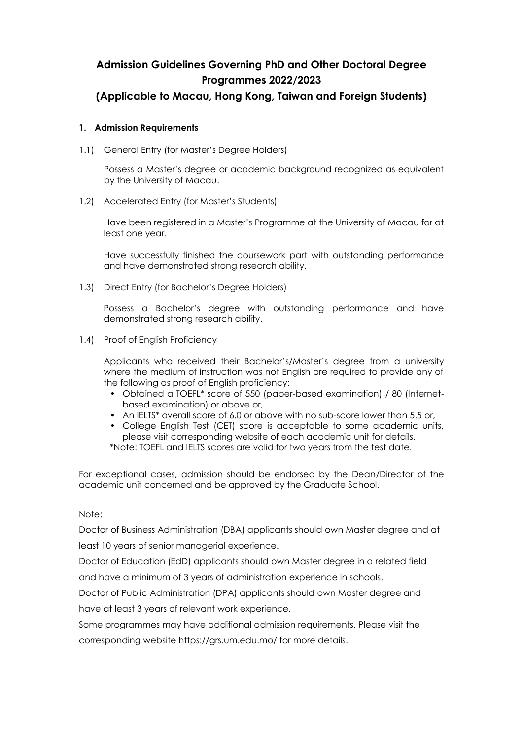# **Admission Guidelines Governing PhD and Other Doctoral Degree Programmes 2022/2023**

# **(Applicable to Macau, Hong Kong, Taiwan and Foreign Students)**

## **1. Admission Requirements**

1.1) General Entry (for Master's Degree Holders)

Possess a Master's degree or academic background recognized as equivalent by the University of Macau.

1.2) Accelerated Entry (for Master's Students)

Have been registered in a Master's Programme at the University of Macau for at least one year.

Have successfully finished the coursework part with outstanding performance and have demonstrated strong research ability.

1.3) Direct Entry (for Bachelor's Degree Holders)

Possess a Bachelor's degree with outstanding performance and have demonstrated strong research ability.

1.4) Proof of English Proficiency

Applicants who received their Bachelor's/Master's degree from a university where the medium of instruction was not English are required to provide any of the following as proof of English proficiency:

- Obtained a TOEFL\* score of 550 (paper-based examination) / 80 (Internetbased examination) or above or,
- An IELTS\* overall score of 6.0 or above with no sub-score lower than 5.5 or,
- College English Test (CET) score is acceptable to some academic units, please visit corresponding website of each academic unit for details.

\*Note: TOEFL and IELTS scores are valid for two years from the test date.

For exceptional cases, admission should be endorsed by the Dean/Director of the academic unit concerned and be approved by the Graduate School.

### Note:

Doctor of Business Administration (DBA) applicants should own Master degree and at least 10 years of senior managerial experience.

Doctor of Education (EdD) applicants should own Master degree in a related field and have a minimum of 3 years of administration experience in schools.

Doctor of Public Administration (DPA) applicants should own Master degree and have at least 3 years of relevant work experience.

Some programmes may have additional admission requirements. Please visit the corresponding website https://grs.um.edu.mo/ for more details.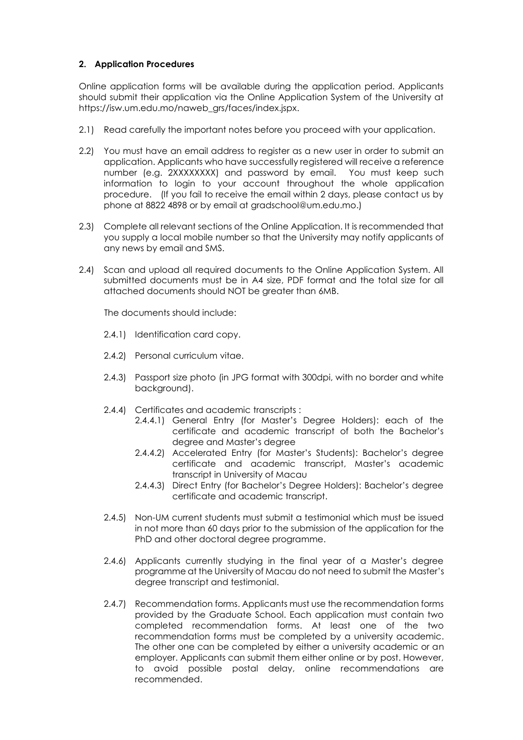## **2. Application Procedures**

Online application forms will be available during the application period. Applicants should submit their application via the Online Application System of the University at https://isw.um.edu.mo/naweb\_grs/faces/index.jspx.

- 2.1) Read carefully the important notes before you proceed with your application.
- 2.2) You must have an email address to register as a new user in order to submit an application. Applicants who have successfully registered will receive a reference number (e.g. 2XXXXXXXX) and password by email. You must keep such information to login to your account throughout the whole application procedure. (If you fail to receive the email within 2 days, please contact us by phone at 8822 4898 or by email at gradschool@um.edu.mo.)
- 2.3) Complete all relevant sections of the Online Application. It is recommended that you supply a local mobile number so that the University may notify applicants of any news by email and SMS.
- 2.4) Scan and upload all required documents to the Online Application System. All submitted documents must be in A4 size, PDF format and the total size for all attached documents should NOT be greater than 6MB.

The documents should include:

- 2.4.1) Identification card copy.
- 2.4.2) Personal curriculum vitae.
- 2.4.3) Passport size photo (in JPG format with 300dpi, with no border and white background).
- 2.4.4) Certificates and academic transcripts :
	- 2.4.4.1) General Entry (for Master's Degree Holders): each of the certificate and academic transcript of both the Bachelor's degree and Master's degree
	- 2.4.4.2) Accelerated Entry (for Master's Students): Bachelor's degree certificate and academic transcript, Master's academic transcript in University of Macau
	- 2.4.4.3) Direct Entry (for Bachelor's Degree Holders): Bachelor's degree certificate and academic transcript.
- 2.4.5) Non-UM current students must submit a testimonial which must be issued in not more than 60 days prior to the submission of the application for the PhD and other doctoral degree programme.
- 2.4.6) Applicants currently studying in the final year of a Master's degree programme at the University of Macau do not need to submit the Master's degree transcript and testimonial.
- 2.4.7) Recommendation forms. Applicants must use the recommendation forms provided by the Graduate School. Each application must contain two completed recommendation forms. At least one of the two recommendation forms must be completed by a university academic. The other one can be completed by either a university academic or an employer. Applicants can submit them either online or by post. However, to avoid possible postal delay, online recommendations are recommended.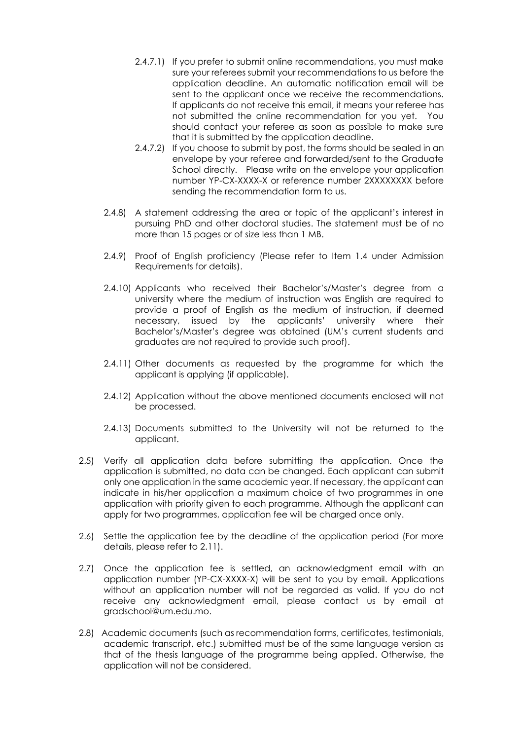- 2.4.7.1) If you prefer to submit online recommendations, you must make sure your referees submit your recommendations to us before the application deadline. An automatic notification email will be sent to the applicant once we receive the recommendations. If applicants do not receive this email, it means your referee has not submitted the online recommendation for you yet. You should contact your referee as soon as possible to make sure that it is submitted by the application deadline.
- 2.4.7.2) If you choose to submit by post, the forms should be sealed in an envelope by your referee and forwarded/sent to the Graduate School directly. Please write on the envelope your application number YP-CX-XXXX-X or reference number 2XXXXXXXX before sending the recommendation form to us.
- 2.4.8) A statement addressing the area or topic of the applicant's interest in pursuing PhD and other doctoral studies. The statement must be of no more than 15 pages or of size less than 1 MB.
- 2.4.9) Proof of English proficiency (Please refer to Item 1.4 under Admission Requirements for details).
- 2.4.10) Applicants who received their Bachelor's/Master's degree from a university where the medium of instruction was English are required to provide a proof of English as the medium of instruction, if deemed necessary, issued by the applicants' university where their Bachelor's/Master's degree was obtained (UM's current students and graduates are not required to provide such proof).
- 2.4.11) Other documents as requested by the programme for which the applicant is applying (if applicable).
- 2.4.12) Application without the above mentioned documents enclosed will not be processed.
- 2.4.13) Documents submitted to the University will not be returned to the applicant.
- 2.5) Verify all application data before submitting the application. Once the application is submitted, no data can be changed. Each applicant can submit only one application in the same academic year. If necessary, the applicant can indicate in his/her application a maximum choice of two programmes in one application with priority given to each programme. Although the applicant can apply for two programmes, application fee will be charged once only.
- 2.6) Settle the application fee by the deadline of the application period (For more details, please refer to 2.11).
- 2.7) Once the application fee is settled, an acknowledgment email with an application number (YP-CX-XXXX-X) will be sent to you by email. Applications without an application number will not be regarded as valid. If you do not receive any acknowledgment email, please contact us by email at gradschool@um.edu.mo.
- 2.8) Academic documents (such as recommendation forms, certificates, testimonials, academic transcript, etc.) submitted must be of the same language version as that of the thesis language of the programme being applied. Otherwise, the application will not be considered.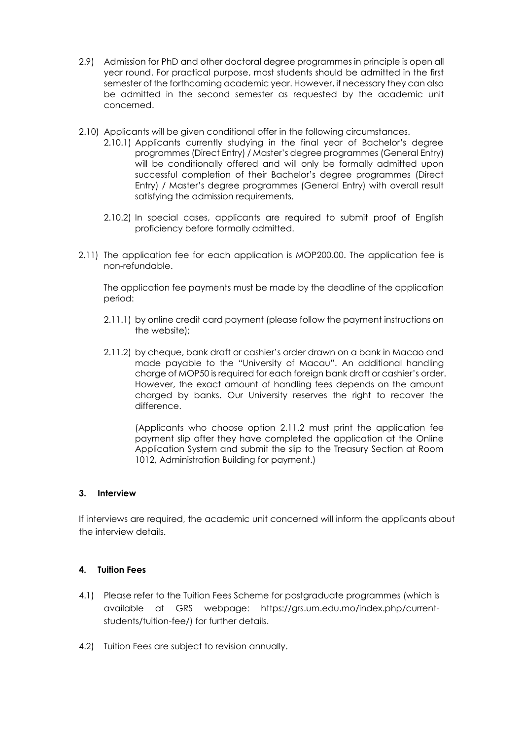- 2.9) Admission for PhD and other doctoral degree programmes in principle is open all year round. For practical purpose, most students should be admitted in the first semester of the forthcoming academic year. However, if necessary they can also be admitted in the second semester as requested by the academic unit concerned.
- 2.10) Applicants will be given conditional offer in the following circumstances.
	- 2.10.1) Applicants currently studying in the final year of Bachelor's degree programmes (Direct Entry) / Master's degree programmes (General Entry) will be conditionally offered and will only be formally admitted upon successful completion of their Bachelor's degree programmes (Direct Entry) / Master's degree programmes (General Entry) with overall result satisfying the admission requirements.
	- 2.10.2) In special cases, applicants are required to submit proof of English proficiency before formally admitted.
- 2.11) The application fee for each application is MOP200.00. The application fee is non-refundable.

The application fee payments must be made by the deadline of the application period:

- 2.11.1) by online credit card payment (please follow the payment instructions on the website);
- 2.11.2) by cheque, bank draft or cashier's order drawn on a bank in Macao and made payable to the "University of Macau". An additional handling charge of MOP50 is required for each foreign bank draft or cashier's order. However, the exact amount of handling fees depends on the amount charged by banks. Our University reserves the right to recover the difference.

(Applicants who choose option 2.11.2 must print the application fee payment slip after they have completed the application at the Online Application System and submit the slip to the Treasury Section at Room 1012, Administration Building for payment.)

#### **3. Interview**

If interviews are required, the academic unit concerned will inform the applicants about the interview details.

#### **4. Tuition Fees**

- 4.1) Please refer to the Tuition Fees Scheme for postgraduate programmes (which is available at GRS webpage: https://grs.um.edu.mo/index.php/currentstudents/tuition-fee/) for further details.
- 4.2) Tuition Fees are subject to revision annually.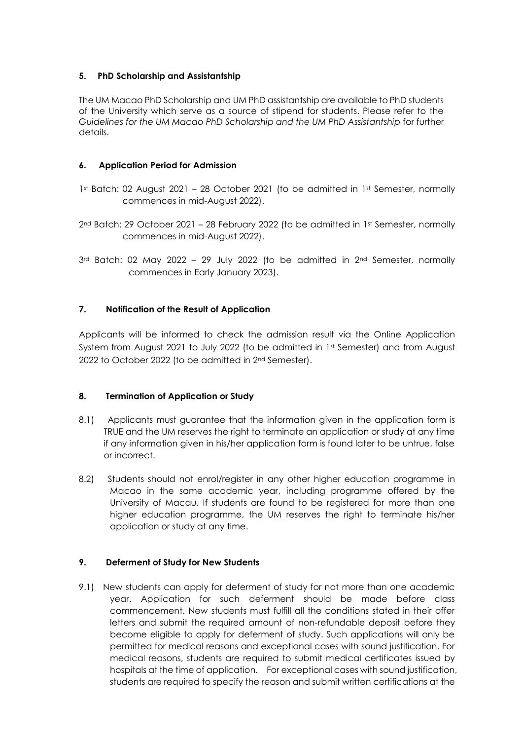## **5. PhD Scholarship and Assistantship**

The UM Macao PhD Scholarship and UM PhD assistantship are available to PhD students of the University which serve as a source of stipend for students. Please refer to the *Guidelines for the UM Macao PhD Scholarship and the UM PhD Assistantship* for further details.

## **6. Application Period for Admission**

- 1st Batch: 02 August 2021 28 October 2021 (to be admitted in 1st Semester, normally commences in mid-August 2022).
- $2<sup>nd</sup>$  Batch: 29 October 2021 28 February 2022 (to be admitted in 1st Semester, normally commences in mid-August 2022).
- $3<sup>rd</sup>$  Batch: 02 May 2022 29 July 2022 (to be admitted in  $2<sup>nd</sup>$  Semester, normally commences in Early January 2023).

## **7. Notification of the Result of Application**

Applicants will be informed to check the admission result via the Online Application System from August 2021 to July 2022 (to be admitted in 1st Semester) and from August 2022 to October 2022 (to be admitted in 2nd Semester).

## **8. Termination of Application or Study**

- 8.1) Applicants must guarantee that the information given in the application form is TRUE and the UM reserves the right to terminate an application or study at any time if any information given in his/her application form is found later to be untrue, false or incorrect.
- 8.2) Students should not enrol/register in any other higher education programme in Macao in the same academic year, including programme offered by the University of Macau. If students are found to be registered for more than one higher education programme, the UM reserves the right to terminate his/her application or study at any time.

## **9. Deferment of Study for New Students**

9.1) New students can apply for deferment of study for not more than one academic year. Application for such deferment should be made before class commencement. New students must fulfill all the conditions stated in their offer letters and submit the required amount of non-refundable deposit before they become eligible to apply for deferment of study. Such applications will only be permitted for medical reasons and exceptional cases with sound justification. For medical reasons, students are required to submit medical certificates issued by hospitals at the time of application. For exceptional cases with sound justification, students are required to specify the reason and submit written certifications at the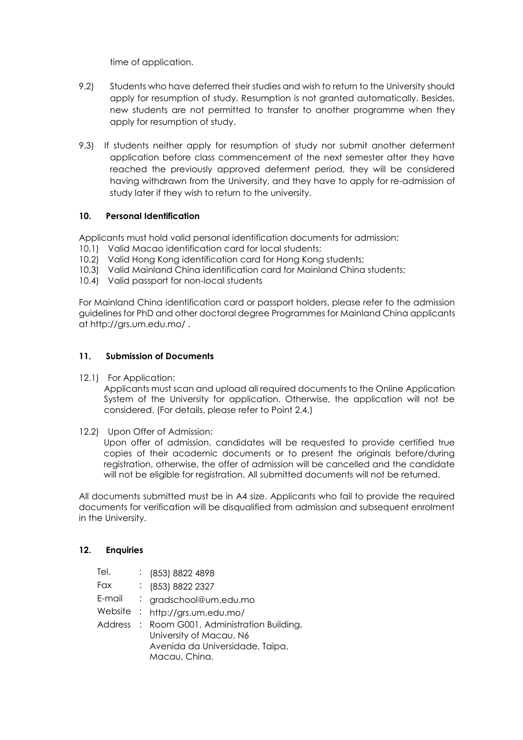time of application.

- 9.2) Students who have deferred their studies and wish to return to the University should apply for resumption of study. Resumption is not granted automatically. Besides, new students are not permitted to transfer to another programme when they apply for resumption of study.
- 9.3) If students neither apply for resumption of study nor submit another deferment application before class commencement of the next semester after they have reached the previously approved deferment period, they will be considered having withdrawn from the University, and they have to apply for re-admission of study later if they wish to return to the university.

### **10. Personal Identification**

Applicants must hold valid personal identification documents for admission:

- 10.1) Valid Macao identification card for local students;
- 10.2) Valid Hong Kong identification card for Hong Kong students;
- 10.3) Valid Mainland China identification card for Mainland China students;
- 10.4) Valid passport for non-local students

For Mainland China identification card or passport holders, please refer to the admission guidelines for PhD and other doctoral degree Programmes for Mainland China applicants at<http://grs.um.edu.mo/> .

### **11. Submission of Documents**

12.1) For Application:

Applicants must scan and upload all required documents to the Online Application System of the University for application. Otherwise, the application will not be considered. (For details, please refer to Point 2.4.)

12.2) Upon Offer of Admission:

Upon offer of admission, candidates will be requested to provide certified true copies of their academic documents or to present the originals before/during registration, otherwise, the offer of admission will be cancelled and the candidate will not be eligible for registration. All submitted documents will not be returned.

All documents submitted must be in A4 size. Applicants who fail to provide the required documents for verification will be disqualified from admission and subsequent enrolment in the University.

#### **12. Enquiries**

| Tel.    | $\frac{1}{2}$ (853) 8822 4898                                                                                        |
|---------|----------------------------------------------------------------------------------------------------------------------|
| Fax     | : (853) 8822 2327                                                                                                    |
| E-mail  | : gradschool@um.edu.mo                                                                                               |
| Website | : http://grs.um.edu.mo/                                                                                              |
| Address | : Room G001, Administration Building,<br>University of Macau, N6<br>Avenida da Universidade, Taipa,<br>Macau, China. |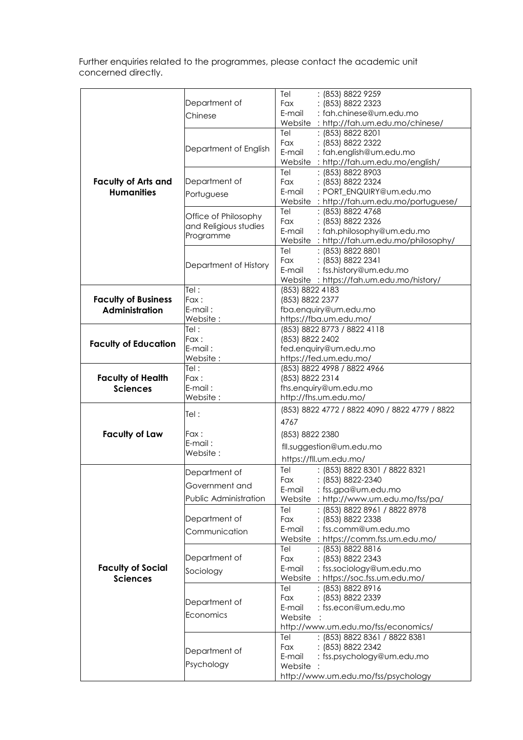Further enquiries related to the programmes, please contact the academic unit concerned directly.

|                             |                       | : (853) 8822 9259<br>Tel                       |
|-----------------------------|-----------------------|------------------------------------------------|
|                             | Department of         | : (853) 8822 2323<br>Fax                       |
|                             | Chinese               | : fah.chinese@um.edu.mo<br>E-mail              |
|                             |                       | Website: http://fah.um.edu.mo/chinese/         |
|                             |                       | Tel<br>: (853) 8822 8201                       |
|                             |                       | Fax<br>: (853) 8822 2322                       |
|                             | Department of English | : fah.english@um.edu.mo<br>E-mail              |
|                             |                       | Website: http://fah.um.edu.mo/english/         |
|                             |                       | : (853) 8822 8903<br>Tel                       |
| <b>Faculty of Arts and</b>  | Department of         | : (853) 8822 2324<br>Fax                       |
| <b>Humanities</b>           |                       | : PORT ENQUIRY@um.edu.mo<br>E-mail             |
|                             | Portuguese            | Website: http://fah.um.edu.mo/portuguese/      |
|                             |                       | : (853) 8822 4768<br>Tel                       |
|                             | Office of Philosophy  | Fax<br>: (853) 8822 2326                       |
|                             | and Religious studies | : fah.philosophy@um.edu.mo<br>E-mail           |
|                             | Programme             |                                                |
|                             |                       | Website: http://fah.um.edu.mo/philosophy/      |
|                             |                       | : (853) 8822 8801<br>Tel                       |
|                             | Department of History | : (853) 8822 2341<br>Fax                       |
|                             |                       | : fss.history@um.edu.mo<br>E-mail              |
|                             |                       | Website: https://fah.um.edu.mo/history/        |
|                             | Tel:                  | (853) 8822 4183                                |
| <b>Faculty of Business</b>  | Fax:                  | (853) 8822 2377                                |
| <b>Administration</b>       | $E$ -mail:            | fba.enquiry@um.edu.mo                          |
|                             | Website:              | https://fba.um.edu.mo/                         |
| <b>Faculty of Education</b> | Tel:                  | (853) 8822 8773 / 8822 4118                    |
|                             | Fax:                  | (853) 8822 2402                                |
|                             | E-mail:               | fed.enquiry@um.edu.mo                          |
|                             | Website:              | https://fed.um.edu.mo/                         |
| <b>Faculty of Health</b>    | Tel:                  | (853) 8822 4998 / 8822 4966                    |
|                             | Fax:                  | (853) 8822 2314                                |
| <b>Sciences</b>             | $E$ -mail:            | fhs.enquiry@um.edu.mo                          |
|                             | Website:              | http://fhs.um.edu.mo/                          |
|                             |                       | (853) 8822 4772 / 8822 4090 / 8822 4779 / 8822 |
|                             |                       |                                                |
|                             | Tel:                  |                                                |
|                             |                       | 4767                                           |
| <b>Faculty of Law</b>       | Fax :                 | (853) 8822 2380                                |
|                             | E-mail:               |                                                |
|                             | Website:              | fll.suggestion@um.edu.mo                       |
|                             |                       | https://fll.um.edu.mo/                         |
|                             | Department of         | : (853) 8822 8301 / 8822 8321<br>Tel           |
|                             |                       | Fax<br>: (853) 8822-2340                       |
|                             | Government and        | E-mail<br>: fss.gpa@um.edu.mo                  |
|                             | Public Administration | Website: http://www.um.edu.mo/fss/pa/          |
|                             |                       | : (853) 8822 8961 / 8822 8978<br>Tel           |
|                             | Department of         | Fax<br>: (853) 8822 2338                       |
|                             | Communication         | : fss.comm@um.edu.mo<br>E-mail                 |
|                             |                       | Website: https://comm.fss.um.edu.mo/           |
|                             |                       | : (853) 8822 8816<br>Tel                       |
|                             | Department of         | <b>Fax</b><br>: (853) 8822 2343                |
| <b>Faculty of Social</b>    |                       | E-mail<br>: fss.sociology@um.edu.mo            |
| <b>Sciences</b>             | Sociology             | Website<br>: https://soc.fss.um.edu.mo/        |
|                             |                       | : (853) 8822 8916<br>Tel                       |
|                             |                       | : (853) 8822 2339<br>Fax                       |
|                             | Department of         | : fss.econ@um.edu.mo<br>E-mail                 |
|                             | Economics             | Website                                        |
|                             |                       | http://www.um.edu.mo/fss/economics/            |
|                             |                       | Tel                                            |
|                             |                       | : (853) 8822 8361 / 8822 8381<br>Fax           |
|                             | Department of         | : (853) 8822 2342<br>E-mail                    |
|                             | Psychology            | : fss.psychology@um.edu.mo<br>Website          |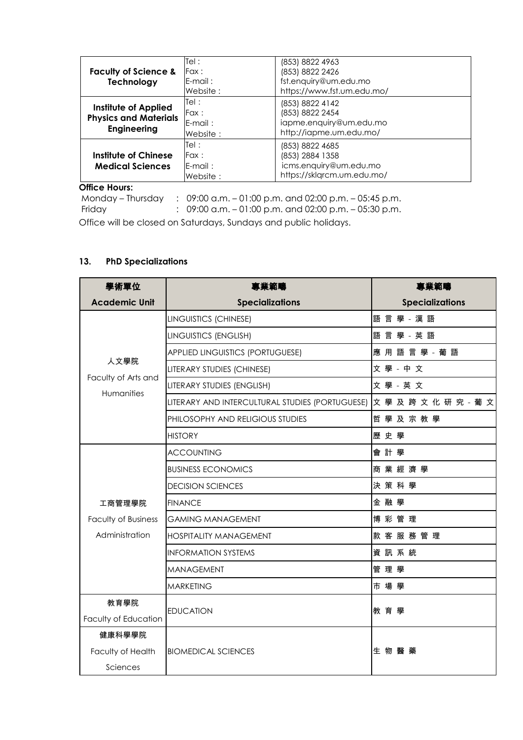|                                 | Tel:       | (853) 8822 4963            |
|---------------------------------|------------|----------------------------|
| <b>Faculty of Science &amp;</b> | Fax :      | (853) 8822 2426            |
| Technology                      | $E$ -mail: | fst.enquiry@um.edu.mo      |
|                                 | Website:   | https://www.fst.um.edu.mo/ |
|                                 | Tel:       | (853) 8822 4142            |
| Institute of Applied            | Fax :      | (853) 8822 2454            |
| <b>Physics and Materials</b>    | $E$ -mail: | iapme.enquiry@um.edu.mo    |
| <b>Engineering</b>              | Website:   | http://iapme.um.edu.mo/    |
|                                 | Tel :      | (853) 8822 4685            |
| Institute of Chinese            | Fax :      | (853) 2884 1358            |
| <b>Medical Sciences</b>         | E-mail:    | icms.enquiry@um.edu.mo     |
|                                 | Website:   | https://sklgrcm.um.edu.mo/ |
| <b>Office Hours:</b>            |            |                            |

Monday – Thursday : 09:00 a.m. – 01:00 p.m. and 02:00 p.m. – 05:45 p.m.

Friday : 09:00 a.m. – 01:00 p.m. and 02:00 p.m. – 05:30 p.m.

Office will be closed on Saturdays, Sundays and public holidays.

## **13. PhD Specializations**

| 學術單位                                      | 專業範疇                                            | 專業範疇                   |
|-------------------------------------------|-------------------------------------------------|------------------------|
| <b>Academic Unit</b>                      | <b>Specializations</b>                          | <b>Specializations</b> |
|                                           | LINGUISTICS (CHINESE)                           | 語 言 學 - 漢 語            |
|                                           | LINGUISTICS (ENGLISH)                           | 語言學 - 英語               |
|                                           | <b>APPLIED LINGUISTICS (PORTUGUESE)</b>         | 應用語言學 - 葡語             |
| 人文學院<br>Faculty of Arts and<br>Humanities | LITERARY STUDIES (CHINESE)                      | 文學 - 中文                |
|                                           | LITERARY STUDIES (ENGLISH)                      | 文學 - 英文                |
|                                           | LITERARY AND INTERCULTURAL STUDIES (PORTUGUESE) | 文 學 及 跨 文 化 研 究 - 葡 文  |
|                                           | PHILOSOPHY AND RELIGIOUS STUDIES                | 哲學及宗教學                 |
|                                           | <b>HISTORY</b>                                  | 歷史學                    |
|                                           | <b>ACCOUNTING</b>                               | 會計學                    |
|                                           | <b>BUSINESS ECONOMICS</b>                       | 商業經濟學                  |
|                                           | <b>DECISION SCIENCES</b>                        | 決策科學                   |
| 工商管理學院                                    | <b>FINANCE</b>                                  | 金融學                    |
| <b>Faculty of Business</b>                | <b>GAMING MANAGEMENT</b>                        | 博彩管理                   |
| Administration                            | <b>HOSPITALITY MANAGEMENT</b>                   | 款客服務管理                 |
|                                           | <b>INFORMATION SYSTEMS</b>                      | 資訊系統                   |
|                                           | <b>MANAGEMENT</b>                               | 管理學                    |
|                                           | <b>MARKETING</b>                                | 市場學                    |
| 教育學院                                      |                                                 |                        |
| Faculty of Education                      | <b>EDUCATION</b>                                | 教育學                    |
| 健康科學學院                                    |                                                 |                        |
| Faculty of Health                         | <b>BIOMEDICAL SCIENCES</b>                      | 生物醫藥                   |
| Sciences                                  |                                                 |                        |